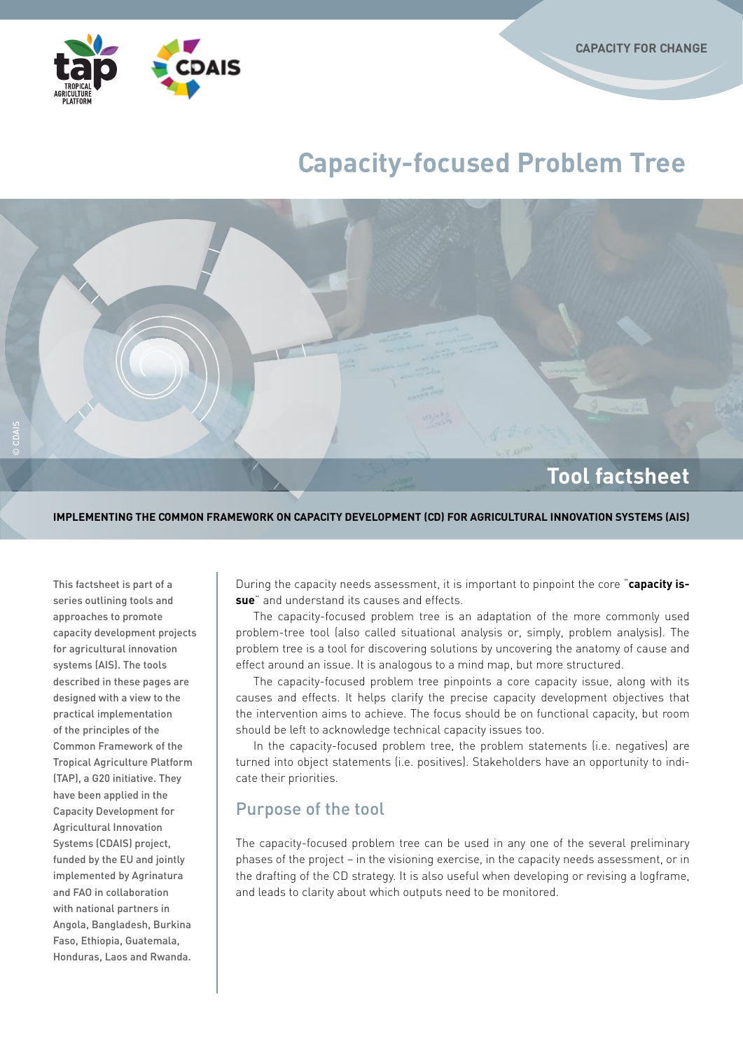

# **Capacity-focused Problem Tree**



#### **Implementing the common framework on Capacity Development (CD) for Agricultural Innovation Systems (AIS)**

This factsheet is part of a series outlining tools and approaches to promote capacity development projects for agricultural innovation systems (AIS). The tools described in these pages are designed with a view to the practical implementation of the principles of the Common Framework of the Tropical Agriculture Platform (TAP), a G20 initiative. They have been applied in the Capacity Development for Agricultural Innovation Systems (CDAIS) project, funded by the EU and jointly implemented by Agrinatura and FAO in collaboration with national partners in Angola, Bangladesh, Burkina Faso, Ethiopia, Guatemala, Honduras, Laos and Rwanda.

During the capacity needs assessment, it is important to pinpoint the core "**capacity issue**" and understand its causes and effects.

The capacity-focused problem tree is an adaptation of the more commonly used problem-tree tool (also called situational analysis or, simply, problem analysis). The problem tree is a tool for discovering solutions by uncovering the anatomy of cause and effect around an issue. It is analogous to a mind map, but more structured.

The capacity-focused problem tree pinpoints a core capacity issue, along with its causes and effects. It helps clarify the precise capacity development objectives that the intervention aims to achieve. The focus should be on functional capacity, but room should be left to acknowledge technical capacity issues too.

In the capacity-focused problem tree, the problem statements (i.e. negatives) are turned into object statements (i.e. positives). Stakeholders have an opportunity to indicate their priorities.

## Purpose of the tool

The capacity-focused problem tree can be used in any one of the several preliminary phases of the project – in the visioning exercise, in the capacity needs assessment, or in the drafting of the CD strategy. It is also useful when developing or revising a logframe, and leads to clarity about which outputs need to be monitored.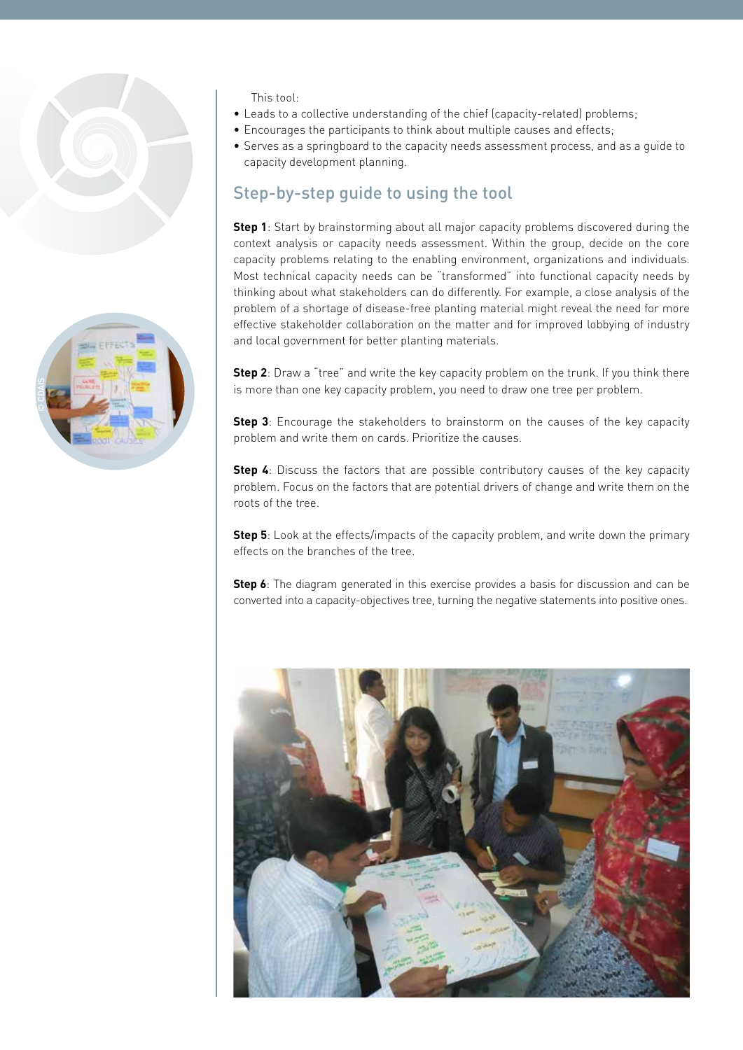

This tool:

- Leads to a collective understanding of the chief (capacity-related) problems;
- Encourages the participants to think about multiple causes and effects;
- • Serves as a springboard to the capacity needs assessment process, and as a guide to capacity development planning.

# Step-by-step guide to using the tool

**Step 1**: Start by brainstorming about all major capacity problems discovered during the context analysis or capacity needs assessment. Within the group, decide on the core capacity problems relating to the enabling environment, organizations and individuals. Most technical capacity needs can be "transformed" into functional capacity needs by thinking about what stakeholders can do differently. For example, a close analysis of the problem of a shortage of disease-free planting material might reveal the need for more effective stakeholder collaboration on the matter and for improved lobbying of industry and local government for better planting materials.

**Step 2**: Draw a "tree" and write the key capacity problem on the trunk. If you think there is more than one key capacity problem, you need to draw one tree per problem.

**Step 3**: Encourage the stakeholders to brainstorm on the causes of the key capacity problem and write them on cards. Prioritize the causes.

**Step 4**: Discuss the factors that are possible contributory causes of the key capacity problem. Focus on the factors that are potential drivers of change and write them on the roots of the tree.

**Step 5**: Look at the effects/impacts of the capacity problem, and write down the primary effects on the branches of the tree.

**Step 6**: The diagram generated in this exercise provides a basis for discussion and can be converted into a capacity-objectives tree, turning the negative statements into positive ones.



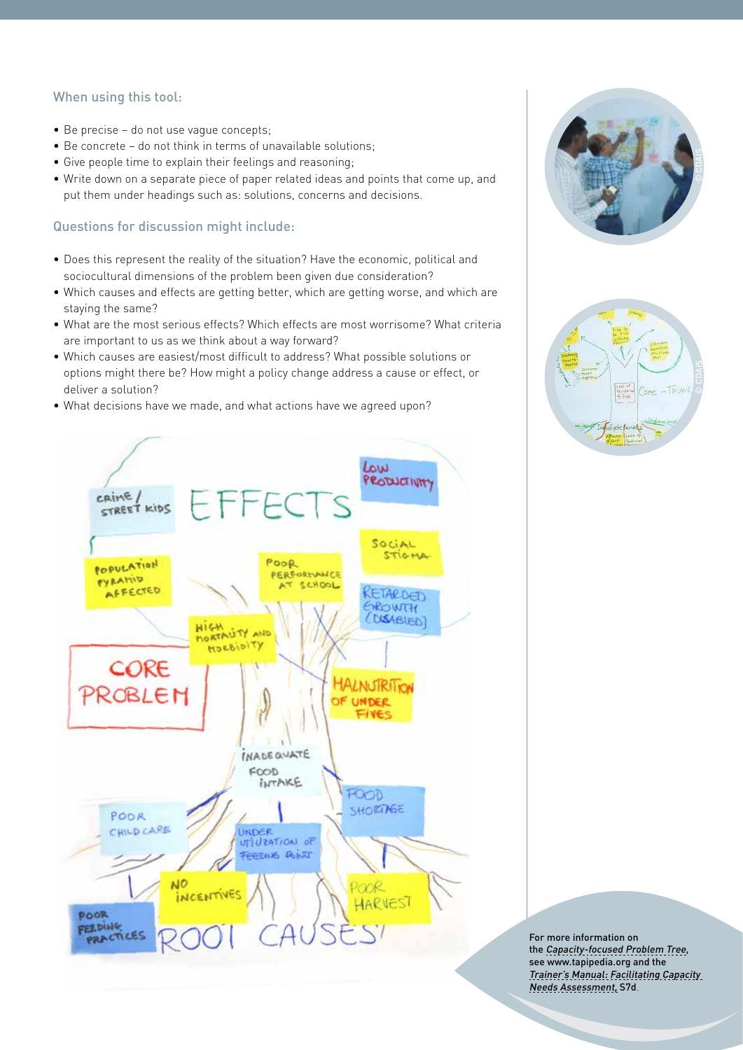### When using this tool:

- Be precise do not use vaque concepts;
- Be concrete do not think in terms of unavailable solutions;
- Give people time to explain their feelings and reasoning;
- • Write down on a separate piece of paper related ideas and points that come up, and put them under headings such as: solutions, concerns and decisions.

#### Questions for discussion might include:

- • Does this represent the reality of the situation? Have the economic, political and sociocultural dimensions of the problem been given due consideration?
- • Which causes and effects are getting better, which are getting worse, and which are staying the same?
- • What are the most serious effects? Which effects are most worrisome? What criteria are important to us as we think about a way forward?
- • Which causes are easiest/most difficult to address? What possible solutions or options might there be? How might a policy change address a cause or effect, or deliver a solution?
- What decisions have we made, and what actions have we agreed upon?







For more information on the [Capacity-focused Problem Tree](http://www.fao.org/capacity-development/resources/practical-tools/capacity-assessment/problem-tree-tool/en/), see [www.tapipedia.org](http://tapipedia.org/) and the [Trainer's Manual](http://www.tapipedia.org/content/trainers-manual-facilitating-capacity-needs-assessment): Facilitating Capacity Needs Assessment, S7d.